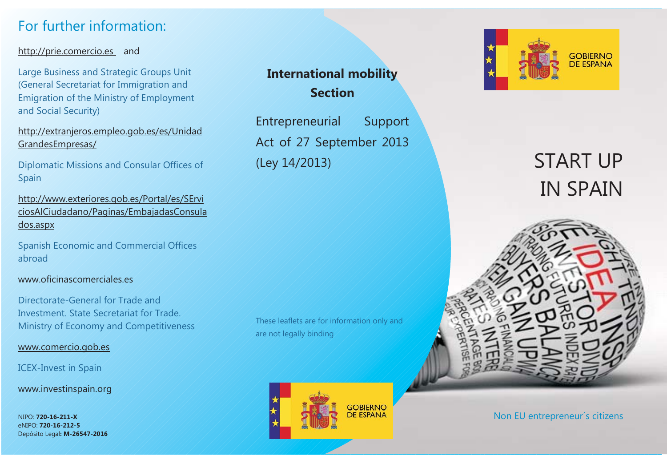# For further information:

#### http://prie.comercio.es and

Large Business and Strategic Groups Unit (General Secretariat for Immigration and Emigration of the Ministry of Employment and Social Security)

http://extranjeros.empleo.gob.es/es/Unidad GrandesEmpresas/

Diplomatic Missions and Consular Offices of Spain

http://www.exteriores.gob.es/Portal/es/SErvi ciosAlCiudadano/Paginas/EmbajadasConsula dos.aspx

Spanish Economic and Commercial Offices abroad

#### www.oficinascomerciales.es

Directorate-General for Trade andInvestment. State Secretariat for Trade.Ministry of Economy and Competitiveness

#### www.comercio.gob.es

#### ICEX-Invest in Spain

www.investinspain.org

NIPO: **720-16-211-X**eNIPO: **720-16-212-5**Depósito Legal**: M-26547-2016**

# **International mobility Section**

Entrepreneurial Support Act of 27 September 2013 (Ley 14/2013)

These leaflets are for information only and are not legally binding





# START UPIN SPAIN



Non EU entrepreneur´s citizens